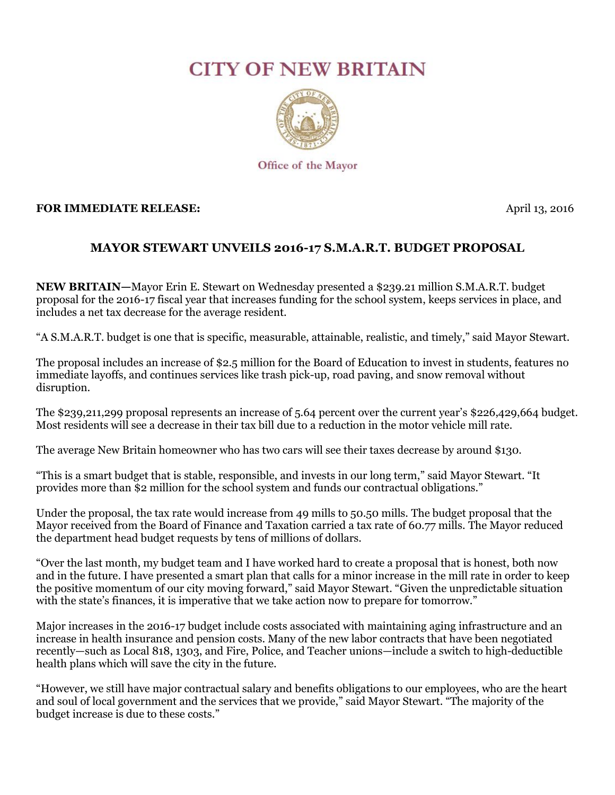## **CITY OF NEW BRITAIN**



## **FOR IMMEDIATE RELEASE:** April 13, 2016

## **MAYOR STEWART UNVEILS 2016-17 S.M.A.R.T. BUDGET PROPOSAL**

**NEW BRITAIN—**Mayor Erin E. Stewart on Wednesday presented a \$239.21 million S.M.A.R.T. budget proposal for the 2016-17 fiscal year that increases funding for the school system, keeps services in place, and includes a net tax decrease for the average resident.

"A S.M.A.R.T. budget is one that is specific, measurable, attainable, realistic, and timely," said Mayor Stewart.

The proposal includes an increase of \$2.5 million for the Board of Education to invest in students, features no immediate layoffs, and continues services like trash pick-up, road paving, and snow removal without disruption.

The \$239,211,299 proposal represents an increase of 5.64 percent over the current year's \$226,429,664 budget. Most residents will see a decrease in their tax bill due to a reduction in the motor vehicle mill rate.

The average New Britain homeowner who has two cars will see their taxes decrease by around \$130.

"This is a smart budget that is stable, responsible, and invests in our long term," said Mayor Stewart. "It provides more than \$2 million for the school system and funds our contractual obligations."

Under the proposal, the tax rate would increase from 49 mills to 50.50 mills. The budget proposal that the Mayor received from the Board of Finance and Taxation carried a tax rate of 60.77 mills. The Mayor reduced the department head budget requests by tens of millions of dollars.

"Over the last month, my budget team and I have worked hard to create a proposal that is honest, both now and in the future. I have presented a smart plan that calls for a minor increase in the mill rate in order to keep the positive momentum of our city moving forward," said Mayor Stewart. "Given the unpredictable situation with the state's finances, it is imperative that we take action now to prepare for tomorrow."

Major increases in the 2016-17 budget include costs associated with maintaining aging infrastructure and an increase in health insurance and pension costs. Many of the new labor contracts that have been negotiated recently—such as Local 818, 1303, and Fire, Police, and Teacher unions—include a switch to high-deductible health plans which will save the city in the future.

"However, we still have major contractual salary and benefits obligations to our employees, who are the heart and soul of local government and the services that we provide," said Mayor Stewart. "The majority of the budget increase is due to these costs."